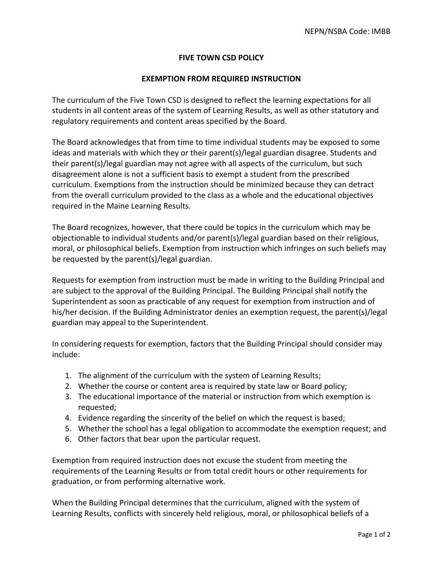## **FIVE TOWN CSD POLICY**

## **EXEMPTION FROM REQUIRED INSTRUCTION**

The curriculum of the Five Town CSD is designed to reflect the learning expectations for all students in all content areas of the system of Learning Results, as well as other statutory and regulatory requirements and content areas specified by the Board.

The Board acknowledges that from time to time individual students may be exposed to some ideas and materials with which they or their parent(s)/legal guardian disagree. Students and their parent(s)/legal guardian may not agree with all aspects of the curriculum, but such disagreement alone is not a sufficient basis to exempt a student from the prescribed curriculum. Exemptions from the instruction should be minimized because they can detract from the overall curriculum provided to the class as a whole and the educational objectives required in the Maine Learning Results.

The Board recognizes, however, that there could be topics in the curriculum which may be objectionable to individual students and/or parent(s)/legal guardian based on their religious, moral, or philosophical beliefs. Exemption from instruction which infringes on such beliefs may be requested by the parent(s)/legal guardian.

Requests for exemption from instruction must be made in writing to the Building Principal and are subject to the approval of the Building Principal. The Building Principal shall notify the Superintendent as soon as practicable of any request for exemption from instruction and of his/her decision. If the Building Administrator denies an exemption request, the parent(s)/legal guardian may appeal to the Superintendent.

In considering requests for exemption, factors that the Building Principal should consider may include:

- 1. The alignment of the curriculum with the system of Learning Results;
- 2. Whether the course or content area is required by state law or Board policy;
- 3. The educational importance of the material or instruction from which exemption is requested;
- 4. Evidence regarding the sincerity of the belief on which the request is based;
- 5. Whether the school has a legal obligation to accommodate the exemption request; and
- 6. Other factors that bear upon the particular request.

Exemption from required instruction does not excuse the student from meeting the requirements of the Learning Results or from total credit hours or other requirements for graduation, or from performing alternative work.

When the Building Principal determines that the curriculum, aligned with the system of Learning Results, conflicts with sincerely held religious, moral, or philosophical beliefs of a